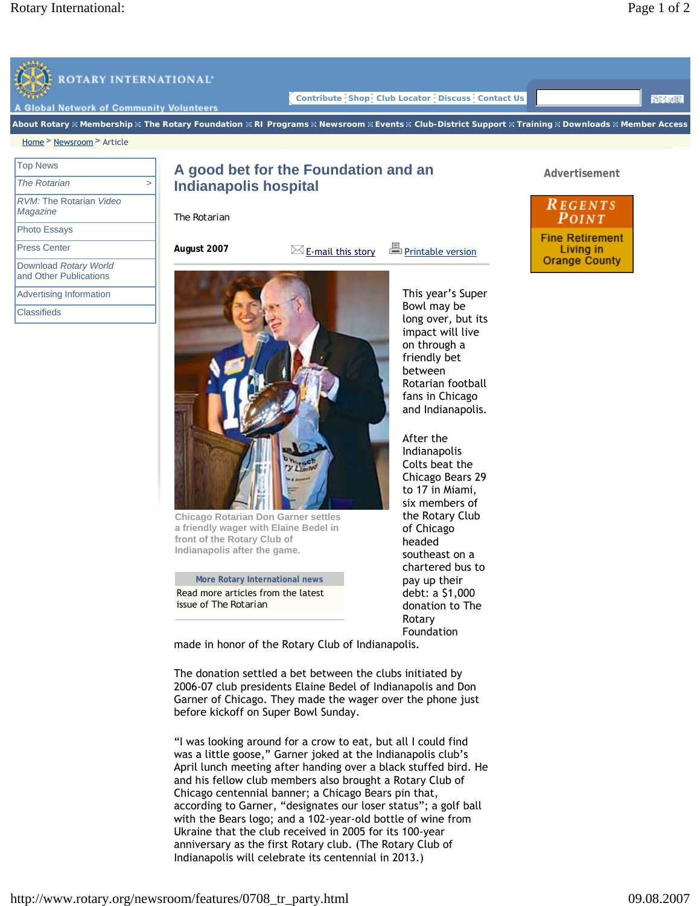

**More Rotary International news**  Read more articles from the latest issue of *The Rotarian*

**front of the Rotary Club of Indianapolis after the game.**

**Chicago Rotarian Don Garner settles a friendly wager with Elaine Bedel in** 

fans in Chicago and Indianapolis.

After the Indianapolis Colts beat the Chicago Bears 29 to 17 in Miami, six members of the Rotary Club of Chicago headed southeast on a chartered bus to pay up their debt: a \$1,000 donation to The Rotary Foundation

made in honor of the Rotary Club of Indianapolis.

The donation settled a bet between the clubs initiated by 2006-07 club presidents Elaine Bedel of Indianapolis and Don Garner of Chicago. They made the wager over the phone just before kickoff on Super Bowl Sunday.

"I was looking around for a crow to eat, but all I could find was a little goose," Garner joked at the Indianapolis club's April lunch meeting after handing over a black stuffed bird. He and his fellow club members also brought a Rotary Club of Chicago centennial banner; a Chicago Bears pin that, according to Garner, "designates our loser status"; a golf ball with the Bears logo; and a 102-year-old bottle of wine from Ukraine that the club received in 2005 for its 100-year anniversary as the first Rotary club. (The Rotary Club of Indianapolis will celebrate its centennial in 2013.)